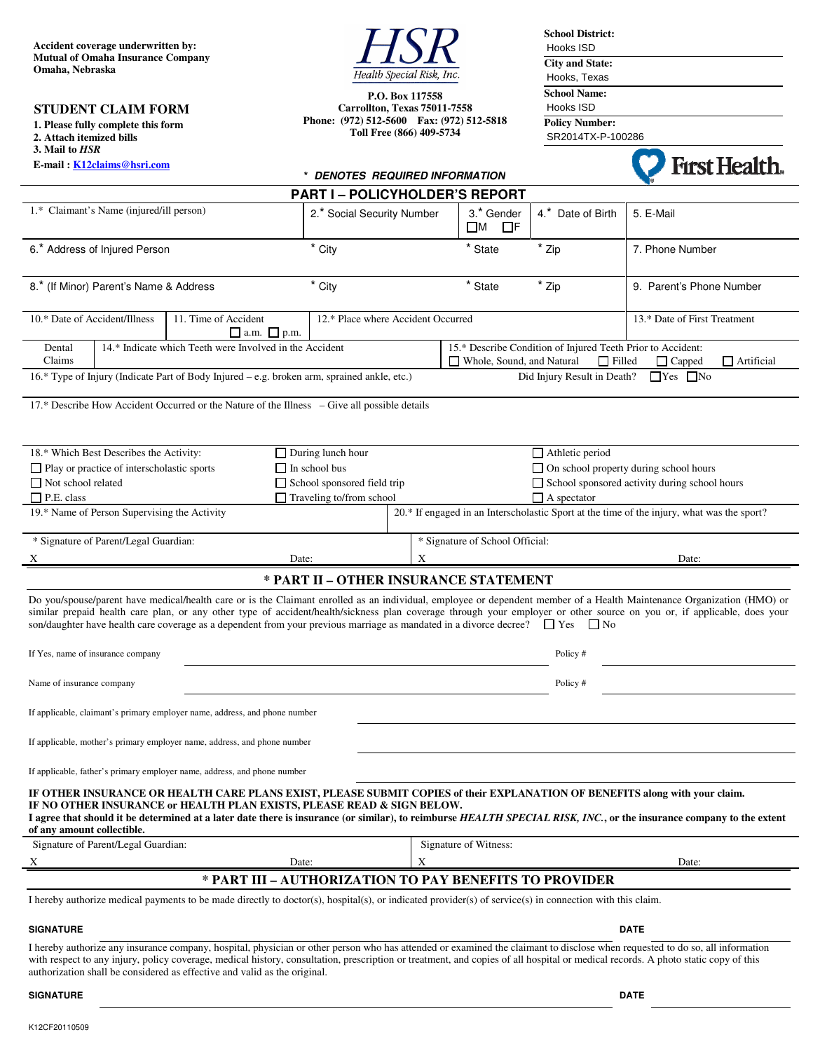**Accident coverage underwritten by: Mutual of Omaha Insurance Company Omaha, Nebraska** 

**1. Please fully complete this form 2. Attach itemized bills 3. Mail to** *HSR* 

**STUDENT CLAIM FORM**

**E-mail : K12claims@hsri.com**



**P.O. Box 117558 Carrollton, Texas 75011-7558 Phone: (972) 512-5600 Fax: (972) 512-5818 Toll Free (866) 409-5734** 

**School District:**  Hooks ISD **City and State:**  Hooks, Texas **School Name:**  Hooks ISD **Policy Number:** 

 SR2014TX-P-100286



|                                                                                                                                                    | E-man : K12Ganns@nsn.com                     |                                                                                                                                                                                                       | * DENOTES REQUIRED INFORMATION                                        |                                                                                                                            |                                       |                              | ГІІ ЛЕДИЛ.                                                                                                                                                                                                                                                                                                                                                        |
|----------------------------------------------------------------------------------------------------------------------------------------------------|----------------------------------------------|-------------------------------------------------------------------------------------------------------------------------------------------------------------------------------------------------------|-----------------------------------------------------------------------|----------------------------------------------------------------------------------------------------------------------------|---------------------------------------|------------------------------|-------------------------------------------------------------------------------------------------------------------------------------------------------------------------------------------------------------------------------------------------------------------------------------------------------------------------------------------------------------------|
|                                                                                                                                                    |                                              |                                                                                                                                                                                                       | <b>PART I - POLICYHOLDER'S REPORT</b>                                 |                                                                                                                            |                                       |                              |                                                                                                                                                                                                                                                                                                                                                                   |
| 1.* Claimant's Name (injured/ill person)                                                                                                           |                                              |                                                                                                                                                                                                       | 2.* Social Security Number                                            |                                                                                                                            | 3.* Gender<br>$\square$ M<br>$\Box$ F | 4.* Date of Birth            | 5. E-Mail                                                                                                                                                                                                                                                                                                                                                         |
| 6.* Address of Injured Person                                                                                                                      |                                              |                                                                                                                                                                                                       | * City                                                                |                                                                                                                            | * State                               | * Zip                        | 7. Phone Number                                                                                                                                                                                                                                                                                                                                                   |
| 8.* (If Minor) Parent's Name & Address                                                                                                             |                                              |                                                                                                                                                                                                       | * City                                                                |                                                                                                                            | * State                               | * Zip                        | 9. Parent's Phone Number                                                                                                                                                                                                                                                                                                                                          |
| 10.* Date of Accident/Illness<br>11. Time of Accident<br>$\Box$ a.m. $\Box$ p.m.                                                                   |                                              |                                                                                                                                                                                                       | 12.* Place where Accident Occurred                                    |                                                                                                                            |                                       | 13.* Date of First Treatment |                                                                                                                                                                                                                                                                                                                                                                   |
| Dental<br>Claims                                                                                                                                   |                                              | 14.* Indicate which Teeth were Involved in the Accident                                                                                                                                               |                                                                       | 15.* Describe Condition of Injured Teeth Prior to Accident:<br>Whole, Sound, and Natural<br>$\Box$ Filled<br>$\Box$ Capped |                                       |                              | $\Box$ Artificial                                                                                                                                                                                                                                                                                                                                                 |
| Did Injury Result in Death?<br>$\Box$ Yes $\Box$ No<br>16.* Type of Injury (Indicate Part of Body Injured – e.g. broken arm, sprained ankle, etc.) |                                              |                                                                                                                                                                                                       |                                                                       |                                                                                                                            |                                       |                              |                                                                                                                                                                                                                                                                                                                                                                   |
|                                                                                                                                                    |                                              | 17.* Describe How Accident Occurred or the Nature of the Illness – Give all possible details                                                                                                          |                                                                       |                                                                                                                            |                                       |                              |                                                                                                                                                                                                                                                                                                                                                                   |
|                                                                                                                                                    | 18.* Which Best Describes the Activity:      |                                                                                                                                                                                                       | $\Box$ During lunch hour                                              | $\Box$ Athletic period                                                                                                     |                                       |                              |                                                                                                                                                                                                                                                                                                                                                                   |
|                                                                                                                                                    | □ Play or practice of interscholastic sports |                                                                                                                                                                                                       | $\Box$ In school bus                                                  | $\Box$ On school property during school hours<br>School sponsored activity during school hours                             |                                       |                              |                                                                                                                                                                                                                                                                                                                                                                   |
| $\Box$ Not school related<br>$\Box$ P.E. class                                                                                                     |                                              |                                                                                                                                                                                                       | $\Box$ School sponsored field trip<br>$\Box$ Traveling to/from school | $\Box$ A spectator                                                                                                         |                                       |                              |                                                                                                                                                                                                                                                                                                                                                                   |
|                                                                                                                                                    | 19.* Name of Person Supervising the Activity |                                                                                                                                                                                                       |                                                                       | 20.* If engaged in an Interscholastic Sport at the time of the injury, what was the sport?                                 |                                       |                              |                                                                                                                                                                                                                                                                                                                                                                   |
| * Signature of Parent/Legal Guardian:                                                                                                              |                                              |                                                                                                                                                                                                       |                                                                       | * Signature of School Official:                                                                                            |                                       |                              |                                                                                                                                                                                                                                                                                                                                                                   |
| X                                                                                                                                                  |                                              |                                                                                                                                                                                                       | Date:                                                                 | X                                                                                                                          |                                       |                              | Date:                                                                                                                                                                                                                                                                                                                                                             |
|                                                                                                                                                    |                                              |                                                                                                                                                                                                       |                                                                       |                                                                                                                            | * PART II - OTHER INSURANCE STATEMENT |                              |                                                                                                                                                                                                                                                                                                                                                                   |
|                                                                                                                                                    |                                              | son/daughter have health care coverage as a dependent from your previous marriage as mandated in a divorce decree? $\square$ Yes                                                                      |                                                                       |                                                                                                                            |                                       | $\Box$ No                    | Do you/spouse/parent have medical/health care or is the Claimant enrolled as an individual, employee or dependent member of a Health Maintenance Organization (HMO) or<br>similar prepaid health care plan, or any other type of accident/health/sickness plan coverage through your employer or other source on you or, if applicable, does your                 |
| If Yes, name of insurance company                                                                                                                  |                                              |                                                                                                                                                                                                       | Policy#                                                               |                                                                                                                            |                                       |                              |                                                                                                                                                                                                                                                                                                                                                                   |
| Name of insurance company                                                                                                                          |                                              |                                                                                                                                                                                                       | Policy#                                                               |                                                                                                                            |                                       |                              |                                                                                                                                                                                                                                                                                                                                                                   |
|                                                                                                                                                    |                                              | If applicable, claimant's primary employer name, address, and phone number                                                                                                                            |                                                                       |                                                                                                                            |                                       |                              |                                                                                                                                                                                                                                                                                                                                                                   |
| If applicable, mother's primary employer name, address, and phone number                                                                           |                                              |                                                                                                                                                                                                       |                                                                       |                                                                                                                            |                                       |                              |                                                                                                                                                                                                                                                                                                                                                                   |
|                                                                                                                                                    |                                              | If applicable, father's primary employer name, address, and phone number                                                                                                                              |                                                                       |                                                                                                                            |                                       |                              |                                                                                                                                                                                                                                                                                                                                                                   |
| of any amount collectible.                                                                                                                         |                                              | IF OTHER INSURANCE OR HEALTH CARE PLANS EXIST, PLEASE SUBMIT COPIES of their EXPLANATION OF BENEFITS along with your claim.<br>IF NO OTHER INSURANCE or HEALTH PLAN EXISTS, PLEASE READ & SIGN BELOW. |                                                                       |                                                                                                                            |                                       |                              | I agree that should it be determined at a later date there is insurance (or similar), to reimburse HEALTH SPECIAL RISK, INC., or the insurance company to the extent                                                                                                                                                                                              |
|                                                                                                                                                    | Signature of Parent/Legal Guardian:          |                                                                                                                                                                                                       |                                                                       |                                                                                                                            | Signature of Witness:                 |                              |                                                                                                                                                                                                                                                                                                                                                                   |
|                                                                                                                                                    |                                              |                                                                                                                                                                                                       | Date:                                                                 | X                                                                                                                          |                                       |                              | Date:                                                                                                                                                                                                                                                                                                                                                             |
|                                                                                                                                                    |                                              | * PART III - AUTHORIZATION TO PAY BENEFITS TO PROVIDER                                                                                                                                                |                                                                       |                                                                                                                            |                                       |                              |                                                                                                                                                                                                                                                                                                                                                                   |
|                                                                                                                                                    |                                              | I hereby authorize medical payments to be made directly to doctor(s), hospital(s), or indicated provider(s) of service(s) in connection with this claim.                                              |                                                                       |                                                                                                                            |                                       |                              |                                                                                                                                                                                                                                                                                                                                                                   |
| <b>SIGNATURE</b>                                                                                                                                   |                                              |                                                                                                                                                                                                       |                                                                       | <b>DATE</b>                                                                                                                |                                       |                              |                                                                                                                                                                                                                                                                                                                                                                   |
|                                                                                                                                                    |                                              | authorization shall be considered as effective and valid as the original.                                                                                                                             |                                                                       |                                                                                                                            |                                       |                              | I hereby authorize any insurance company, hospital, physician or other person who has attended or examined the claimant to disclose when requested to do so, all information<br>with respect to any injury, policy coverage, medical history, consultation, prescription or treatment, and copies of all hospital or medical records. A photo static copy of this |

#### **SIGNATURE DATE** DATE AND SIGNATURE DATE OF A SECOND VIOLENCE OF A SECOND VIOLENCE OF A SECOND VIOLENCE OF A SECOND VIOLENCE OF A SECOND VIOLENCE OF A SECOND VIOLENCE OF A SECOND VIOLENCE OF A SECOND VIOLENCE OF A SECOND V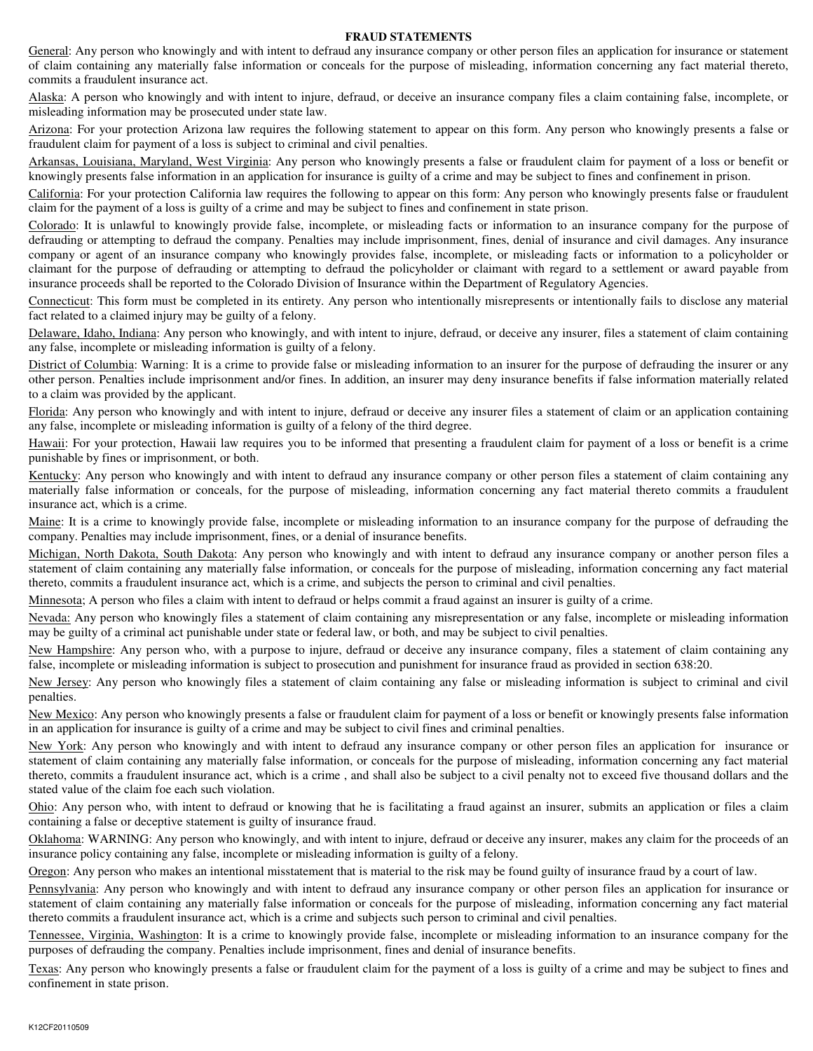#### **FRAUD STATEMENTS**

General: Any person who knowingly and with intent to defraud any insurance company or other person files an application for insurance or statement of claim containing any materially false information or conceals for the purpose of misleading, information concerning any fact material thereto, commits a fraudulent insurance act.

Alaska: A person who knowingly and with intent to injure, defraud, or deceive an insurance company files a claim containing false, incomplete, or misleading information may be prosecuted under state law.

Arizona: For your protection Arizona law requires the following statement to appear on this form. Any person who knowingly presents a false or fraudulent claim for payment of a loss is subject to criminal and civil penalties.

Arkansas, Louisiana, Maryland, West Virginia: Any person who knowingly presents a false or fraudulent claim for payment of a loss or benefit or knowingly presents false information in an application for insurance is guilty of a crime and may be subject to fines and confinement in prison.

California: For your protection California law requires the following to appear on this form: Any person who knowingly presents false or fraudulent claim for the payment of a loss is guilty of a crime and may be subject to fines and confinement in state prison.

Colorado: It is unlawful to knowingly provide false, incomplete, or misleading facts or information to an insurance company for the purpose of defrauding or attempting to defraud the company. Penalties may include imprisonment, fines, denial of insurance and civil damages. Any insurance company or agent of an insurance company who knowingly provides false, incomplete, or misleading facts or information to a policyholder or claimant for the purpose of defrauding or attempting to defraud the policyholder or claimant with regard to a settlement or award payable from insurance proceeds shall be reported to the Colorado Division of Insurance within the Department of Regulatory Agencies.

Connecticut: This form must be completed in its entirety. Any person who intentionally misrepresents or intentionally fails to disclose any material fact related to a claimed injury may be guilty of a felony.

Delaware, Idaho, Indiana: Any person who knowingly, and with intent to injure, defraud, or deceive any insurer, files a statement of claim containing any false, incomplete or misleading information is guilty of a felony.

District of Columbia: Warning: It is a crime to provide false or misleading information to an insurer for the purpose of defrauding the insurer or any other person. Penalties include imprisonment and/or fines. In addition, an insurer may deny insurance benefits if false information materially related to a claim was provided by the applicant.

Florida: Any person who knowingly and with intent to injure, defraud or deceive any insurer files a statement of claim or an application containing any false, incomplete or misleading information is guilty of a felony of the third degree.

Hawaii: For your protection, Hawaii law requires you to be informed that presenting a fraudulent claim for payment of a loss or benefit is a crime punishable by fines or imprisonment, or both.

Kentucky: Any person who knowingly and with intent to defraud any insurance company or other person files a statement of claim containing any materially false information or conceals, for the purpose of misleading, information concerning any fact material thereto commits a fraudulent insurance act, which is a crime.

Maine: It is a crime to knowingly provide false, incomplete or misleading information to an insurance company for the purpose of defrauding the company. Penalties may include imprisonment, fines, or a denial of insurance benefits.

Michigan, North Dakota, South Dakota: Any person who knowingly and with intent to defraud any insurance company or another person files a statement of claim containing any materially false information, or conceals for the purpose of misleading, information concerning any fact material thereto, commits a fraudulent insurance act, which is a crime, and subjects the person to criminal and civil penalties.

Minnesota; A person who files a claim with intent to defraud or helps commit a fraud against an insurer is guilty of a crime.

Nevada: Any person who knowingly files a statement of claim containing any misrepresentation or any false, incomplete or misleading information may be guilty of a criminal act punishable under state or federal law, or both, and may be subject to civil penalties.

New Hampshire: Any person who, with a purpose to injure, defraud or deceive any insurance company, files a statement of claim containing any false, incomplete or misleading information is subject to prosecution and punishment for insurance fraud as provided in section 638:20.

New Jersey: Any person who knowingly files a statement of claim containing any false or misleading information is subject to criminal and civil penalties.

New Mexico: Any person who knowingly presents a false or fraudulent claim for payment of a loss or benefit or knowingly presents false information in an application for insurance is guilty of a crime and may be subject to civil fines and criminal penalties.

New York: Any person who knowingly and with intent to defraud any insurance company or other person files an application for insurance or statement of claim containing any materially false information, or conceals for the purpose of misleading, information concerning any fact material thereto, commits a fraudulent insurance act, which is a crime , and shall also be subject to a civil penalty not to exceed five thousand dollars and the stated value of the claim foe each such violation.

Ohio: Any person who, with intent to defraud or knowing that he is facilitating a fraud against an insurer, submits an application or files a claim containing a false or deceptive statement is guilty of insurance fraud.

Oklahoma: WARNING: Any person who knowingly, and with intent to injure, defraud or deceive any insurer, makes any claim for the proceeds of an insurance policy containing any false, incomplete or misleading information is guilty of a felony.

Oregon: Any person who makes an intentional misstatement that is material to the risk may be found guilty of insurance fraud by a court of law.

Pennsylvania: Any person who knowingly and with intent to defraud any insurance company or other person files an application for insurance or statement of claim containing any materially false information or conceals for the purpose of misleading, information concerning any fact material thereto commits a fraudulent insurance act, which is a crime and subjects such person to criminal and civil penalties.

Tennessee, Virginia, Washington: It is a crime to knowingly provide false, incomplete or misleading information to an insurance company for the purposes of defrauding the company. Penalties include imprisonment, fines and denial of insurance benefits.

Texas: Any person who knowingly presents a false or fraudulent claim for the payment of a loss is guilty of a crime and may be subject to fines and confinement in state prison.